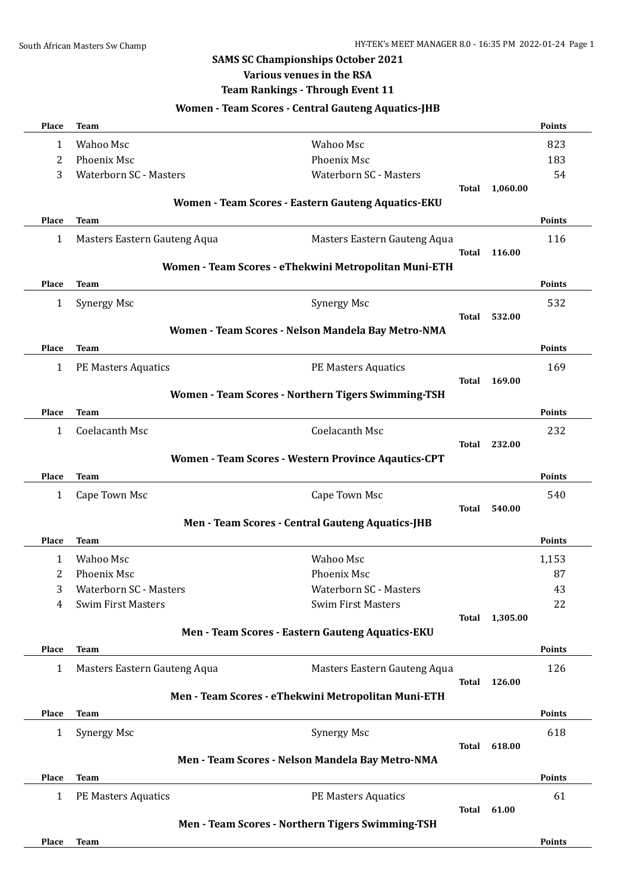#### **SAMS SC Championships October 2021**

# **Various venues in the RSA**

#### **Team Rankings - Through Event 11**

## **Women - Team Scores - Central Gauteng Aquatics-JHB Place Team Points** 1 Wahoo Msc Wahoo Msc 823 2 Phoenix Msc 183 3 Waterborn SC - Masters Waterborn SC - Masters 54 **Total 1,060.00 Women - Team Scores - Eastern Gauteng Aquatics-EKU Place Team Points** 1 Masters Eastern Gauteng Aqua Masters Eastern Gauteng Aqua 116 **Total 116.00 Women - Team Scores - eThekwini Metropolitan Muni-ETH Place Team Points** 1 Synergy Msc 532 **Total 532.00 Women - Team Scores - Nelson Mandela Bay Metro-NMA Place Team Points** 1 PE Masters Aquatics PE Masters Aquatics 169 **Total 169.00 Women - Team Scores - Northern Tigers Swimming-TSH Place Team Points** 1 Coelacanth Msc Coelacanth Msc 232 **Total 232.00 Women - Team Scores - Western Province Aqautics-CPT Place Team Points** 1 Cape Town Msc 540 **Total 540.00 Men - Team Scores - Central Gauteng Aquatics-JHB Place Team Points** 1 Wahoo Msc Wahoo Msc 1,153 2 Phoenix Msc 87 3 Waterborn SC - Masters Waterborn SC - Masters 43 4 Swim First Masters 22 Swim First Masters 22 **Total 1,305.00 Men - Team Scores - Eastern Gauteng Aquatics-EKU Place Team Points** 1 Masters Eastern Gauteng Aqua Masters Eastern Gauteng Aqua 126 **Total 126.00 Men - Team Scores - eThekwini Metropolitan Muni-ETH Place Team Points** 1 Synergy Msc 618 **Total 618.00 Men - Team Scores - Nelson Mandela Bay Metro-NMA Place Team Points** 1 PE Masters Aquatics 61 **PE** Masters Aquatics 61 **Total 61.00 Men - Team Scores - Northern Tigers Swimming-TSH Place Team Points**